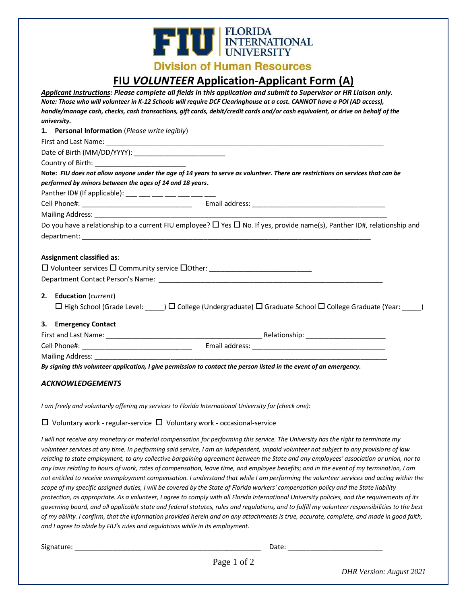# **THE ELORIDA**<br>INTERNATIONAL

**Division of Human Resources** 

## **FIU** *VOLUNTEER* **Application-Applicant Form (A)**

|                                                | Applicant Instructions: Please complete all fields in this application and submit to Supervisor or HR Liaison only.                     |
|------------------------------------------------|-----------------------------------------------------------------------------------------------------------------------------------------|
|                                                | Note: Those who will volunteer in K-12 Schools will require DCF Clearinghouse at a cost. CANNOT have a POI (AD access),                 |
| university.                                    | handle/manage cash, checks, cash transactions, gift cards, debit/credit cards and/or cash equivalent, or drive on behalf of the         |
| 1. Personal Information (Please write legibly) |                                                                                                                                         |
|                                                |                                                                                                                                         |
|                                                |                                                                                                                                         |
|                                                |                                                                                                                                         |
|                                                | Note: FIU does not allow anyone under the age of 14 years to serve as volunteer. There are restrictions on services that can be         |
|                                                | performed by minors between the ages of 14 and 18 years.                                                                                |
|                                                | Panther ID# (If applicable): ___ __ __ __ __ __ __ __ __                                                                                |
|                                                |                                                                                                                                         |
|                                                |                                                                                                                                         |
|                                                | Do you have a relationship to a current FIU employee? $\Box$ Yes $\Box$ No. If yes, provide name(s), Panther ID#, relationship and      |
|                                                |                                                                                                                                         |
|                                                |                                                                                                                                         |
| Assignment classified as:                      |                                                                                                                                         |
|                                                |                                                                                                                                         |
|                                                |                                                                                                                                         |
|                                                |                                                                                                                                         |
| 2. Education (current)                         |                                                                                                                                         |
|                                                | $\Box$ High School (Grade Level: $\Box$ ) $\Box$ College (Undergraduate) $\Box$ Graduate School $\Box$ College Graduate (Year: $\Box$ ) |
| 3. Emergency Contact                           |                                                                                                                                         |
|                                                |                                                                                                                                         |
|                                                |                                                                                                                                         |
|                                                |                                                                                                                                         |
|                                                | By signing this volunteer application, I give permission to contact the person listed in the event of an emergency.                     |
|                                                |                                                                                                                                         |
| <b>ACKNOWLEDGEMENTS</b>                        |                                                                                                                                         |

*I am freely and voluntarily offering my services to Florida International University for (check one):* 

 $\Box$  Voluntary work - regular-service  $\Box$  Voluntary work - occasional-service

*I will not receive any monetary or material compensation for performing this service. The University has the right to terminate my volunteer services at any time. In performing said service, I am an independent, unpaid volunteer not subject to any provisions of law relating to state employment, to any collective bargaining agreement between the State and any employees' association or union, nor to any laws relating to hours of work, rates of compensation, leave time, and employee benefits; and in the event of my termination, I am not entitled to receive unemployment compensation. I understand that while I am performing the volunteer services and acting within the scope of my specific assigned duties, I will be covered by the State of Florida workers' compensation policy and the State liability protection, as appropriate. As a volunteer, I agree to comply with all Florida International University policies, and the requirements of its governing board, and all applicable state and federal statutes, rules and regulations, and to fulfill my volunteer responsibilities to the best of my ability. I confirm, that the information provided herein and on any attachments is true, accurate, complete, and made in good faith, and I agree to abide by FIU's rules and regulations while in its employment.*

Signature: \_\_\_\_\_\_\_\_\_\_\_\_\_\_\_\_\_\_\_\_\_\_\_\_\_\_\_\_\_\_\_\_\_\_\_\_\_\_\_\_\_\_\_\_\_\_\_\_\_ Date: \_\_\_\_\_\_\_\_\_\_\_\_\_\_\_\_\_\_\_\_\_\_\_\_\_